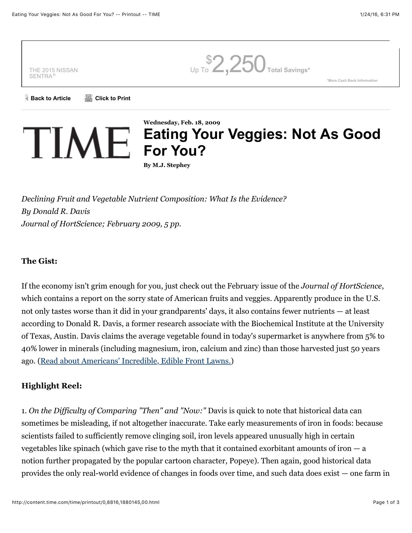

*Declining Fruit and Vegetable Nutrient Composition: What Is the Evidence? By Donald R. Davis Journal of HortScience; February 2009, 5 pp.*

#### **The Gist:**

If the economy isn't grim enough for you, just check out the February issue of the *Journal of HortScience*, which contains a report on the sorry state of American fruits and veggies. Apparently produce in the U.S. not only tastes worse than it did in your grandparents' days, it also contains fewer nutrients — at least according to Donald R. Davis, a former research associate with the Biochemical Institute at the University of Texas, Austin. Davis claims the average vegetable found in today's supermarket is anywhere from 5% to 40% lower in minerals (including magnesium, iron, calcium and zinc) than those harvested just 50 years ago. [\(Read about Americans' Incredible, Edible Front Lawns.\)](http://www.time.com/time/nation/article/0,8599,1816764,00.html)

# **Highlight Reel:**

1. *On the Difficulty of Comparing "Then" and "Now:"* Davis is quick to note that historical data can sometimes be misleading, if not altogether inaccurate. Take early measurements of iron in foods: because scientists failed to sufficiently remove clinging soil, iron levels appeared unusually high in certain vegetables like spinach (which gave rise to the myth that it contained exorbitant amounts of iron  $-$  a notion further propagated by the popular cartoon character, Popeye). Then again, good historical data provides the only real-world evidence of changes in foods over time, and such data does exist — one farm in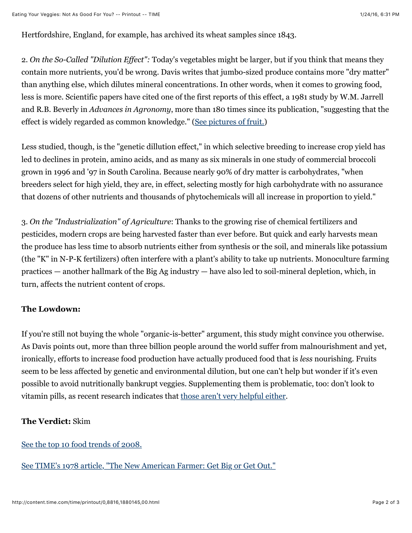Hertfordshire, England, for example, has archived its wheat samples since 1843.

2. *On the So-Called "Dilution Effect":* Today's vegetables might be larger, but if you think that means they contain more nutrients, you'd be wrong. Davis writes that jumbo-sized produce contains more "dry matter" than anything else, which dilutes mineral concentrations. In other words, when it comes to growing food, less is more. Scientific papers have cited one of the first reports of this effect, a 1981 study by W.M. Jarrell and R.B. Beverly in *Advances in Agronomy*, more than 180 times since its publication, "suggesting that the effect is widely regarded as common knowledge." [\(See pictures of fruit.\)](http://www.time.com/time/photogallery/0,29307,1846523,00.html)

Less studied, though, is the "genetic dillution effect," in which selective breeding to increase crop yield has led to declines in protein, amino acids, and as many as six minerals in one study of commercial broccoli grown in 1996 and '97 in South Carolina. Because nearly 90% of dry matter is carbohydrates, "when breeders select for high yield, they are, in effect, selecting mostly for high carbohydrate with no assurance that dozens of other nutrients and thousands of phytochemicals will all increase in proportion to yield."

3. *On the "Industrialization" of Agriculture*: Thanks to the growing rise of chemical fertilizers and pesticides, modern crops are being harvested faster than ever before. But quick and early harvests mean the produce has less time to absorb nutrients either from synthesis or the soil, and minerals like potassium (the "K" in N-P-K fertilizers) often interfere with a plant's ability to take up nutrients. Monoculture farming practices — another hallmark of the Big Ag industry — have also led to soil-mineral depletion, which, in turn, affects the nutrient content of crops.

## **The Lowdown:**

If you're still not buying the whole "organic-is-better" argument, this study might convince you otherwise. As Davis points out, more than three billion people around the world suffer from malnourishment and yet, ironically, efforts to increase food production have actually produced food that is *less* nourishing. Fruits seem to be less affected by genetic and environmental dilution, but one can't help but wonder if it's even possible to avoid nutritionally bankrupt veggies. Supplementing them is problematic, too: don't look to vitamin pills, as recent research indicates that [those aren't very helpful either.](http://www.nytimes.com/2009/02/17/health/17well.html?_r=1&scp=3&sq=vitamins&st=cse)

## **The Verdict:** Skim

[See the top 10 food trends of 2008.](http://www.time.com/time/specials/2008/top10/article/0,30583,1855948_1864255,00.html)

[See TIME's 1978 article, "The New American Farmer: Get Big or Get Out."](http://www.time.com/time/magazine/article/0,9171,948286,00.html)